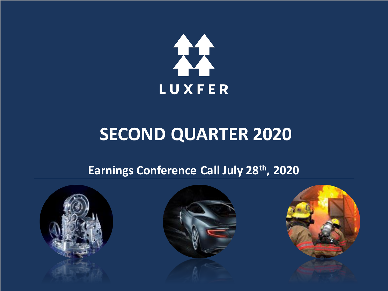

# **SECOND QUARTER 2020**

### **Earnings Conference Call July 28th, 2020**

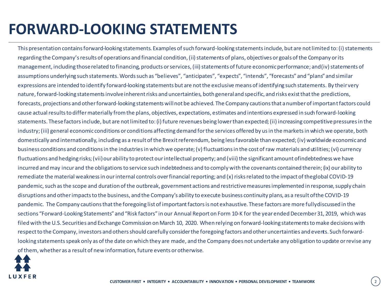# **FORWARD-LOOKING STATEMENTS**

This presentation contains forward-looking statements. Examples of such forward-looking statements include, but are not limited to: (i) statements regarding the Company's results of operations and financial condition, (ii) statements of plans, objectives or goals of the Company or its management, including those related to financing, products or services, (iii) statements of future economic performance; and (iv) statements of assumptions underlying such statements. Words such as "believes", "anticipates", "expects", "intends", "forecasts" and "plans" and similar expressions are intended to identify forward-looking statements but are not the exclusive means of identifying such statements. By their very nature, forward-looking statements involve inherent risks and uncertainties, both general and specific, and risks exist that the predictions, forecasts, projections and other forward-looking statements will not be achieved. The Company cautions that a number of important factors could cause actual results to differ materially from the plans, objectives, expectations, estimates and intentions expressed in such forward-looking statements. These factors include, but are not limited to: (i) future revenues being lower than expected; (ii) increasing competitive pressures in the industry; (iii) general economic conditions or conditions affecting demand for the services offered by us in the markets in which we operate, both domestically and internationally, including as a result of the Brexit referendum, being less favorable than expected; (iv) worldwide economic and business conditions and conditions in the industries in which we operate; (v) fluctuations in the cost of raw materials and utilities; (vi) currency fluctuations and hedging risks; (vii) our ability to protect our intellectual property; and (viii) the significant amount of indebtedness we have incurred and may incur and the obligations to service such indebtedness and to comply with the covenants contained therein; (ix) our ability to remediate the material weakness in our internal controls over financial reporting; and (x) risks related to the impact of theglobal COVID-19 pandemic, such as the scope and duration of the outbreak, government actions and restrictive measures implemented in response, supply chain disruptions and other impacts to the business, and the Company's ability to execute business continuity plans, as a result ofthe COVID-19 pandemic. The Company cautions that the foregoing list of important factors is not exhaustive. These factors are more fully discussed in the sections "Forward-Looking Statements" and "Risk factors" in our Annual Report on Form 10-K for the year ended December 31, 2019, which was filed with the U.S. Securities and Exchange Commission on March 10, 2020. When relying on forward-looking statements to make decisions with respect to the Company, investors and others should carefully consider the foregoing factors and other uncertainties and events. Such forwardlooking statements speak only as of the date on which they are made, and the Company does not undertake any obligation to update or revise any of them, whether as a result of new information, future events or otherwise.

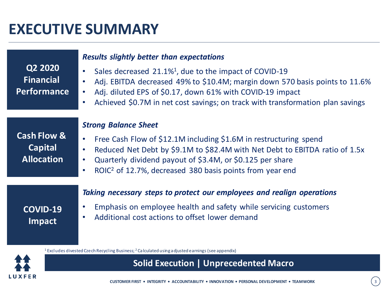### **EXECUTIVE SUMMARY**

| Q2 2020<br><b>Financial</b><br><b>Performance</b>             | <b>Results slightly better than expectations</b><br>Sales decreased 21.1% <sup>1</sup> , due to the impact of COVID-19<br>$\bullet$<br>Adj. EBITDA decreased 49% to \$10.4M; margin down 570 basis points to 11.6%<br>Adj. diluted EPS of \$0.17, down 61% with COVID-19 impact<br>$\bullet$<br>Achieved \$0.7M in net cost savings; on track with transformation plan savings<br>$\bullet$ |
|---------------------------------------------------------------|---------------------------------------------------------------------------------------------------------------------------------------------------------------------------------------------------------------------------------------------------------------------------------------------------------------------------------------------------------------------------------------------|
| <b>Cash Flow &amp;</b><br><b>Capital</b><br><b>Allocation</b> | <b>Strong Balance Sheet</b><br>Free Cash Flow of \$12.1M including \$1.6M in restructuring spend<br>$\bullet$<br>Reduced Net Debt by \$9.1M to \$82.4M with Net Debt to EBITDA ratio of 1.5x<br>Quarterly dividend payout of \$3.4M, or \$0.125 per share<br>$\bullet$<br>ROIC <sup>2</sup> of 12.7%, decreased 380 basis points from year end<br>$\bullet$                                 |
| <b>COVID-19</b><br>Impact                                     | Taking necessary steps to protect our employees and realign operations<br>Emphasis on employee health and safety while servicing customers<br>$\bullet$<br>Additional cost actions to offset lower demand<br>$\bullet$                                                                                                                                                                      |

<sup>1</sup> Excludes divested Czech Recycling Business; <sup>2</sup> Calculated using a djusted earnings (see appendix)



**Click here to edit key takeaway Solid Execution | Unprecedented Macro**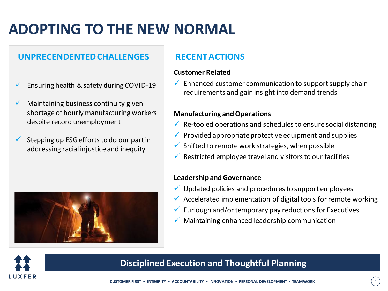# **ADOPTING TO THE NEW NORMAL**

#### **UNPRECENDENTED CHALLENGES**

- Ensuring health & safety during COVID-19
- Maintaining business continuity given shortage of hourly manufacturing workers despite record unemployment
- Stepping up ESG efforts to do our part in addressing racial injustice and inequity



### **RECENT ACTIONS**

#### **Customer Related**

 $\checkmark$  Enhanced customer communication to support supply chain requirements and gain insight into demand trends

#### **Manufacturing and Operations**

- $\checkmark$  Re-tooled operations and schedules to ensure social distancing
- $\checkmark$  Provided appropriate protective equipment and supplies
- $\checkmark$  Shifted to remote work strategies, when possible
- $\checkmark$  Restricted employee travel and visitors to our facilities

#### **Leadership and Governance**

- $\checkmark$  Updated policies and procedures to support employees
- $\checkmark$  Accelerated implementation of digital tools for remote working
- $\checkmark$  Furlough and/or temporary pay reductions for Executives
- $\checkmark$  Maintaining enhanced leadership communication



### **Click here to edit key takeaway Disciplined Execution and Thoughtful Planning**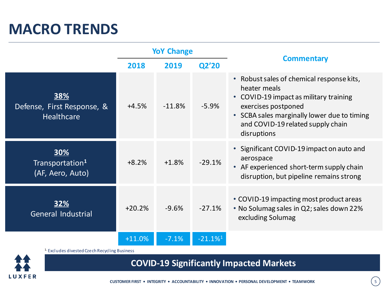# **MACRO TRENDS**

|                                                               |          | <b>YoY Change</b> |                       |                                                                                                                                                                                                                               |
|---------------------------------------------------------------|----------|-------------------|-----------------------|-------------------------------------------------------------------------------------------------------------------------------------------------------------------------------------------------------------------------------|
|                                                               | 2018     | 2019              | Q2'20                 | <b>Commentary</b>                                                                                                                                                                                                             |
| <u>38%</u><br>Defense, First Response, &<br><b>Healthcare</b> | $+4.5%$  | $-11.8%$          | $-5.9%$               | • Robust sales of chemical response kits,<br>heater meals<br>• COVID-19 impact as military training<br>exercises postponed<br>• SCBA sales marginally lower due to timing<br>and COVID-19 related supply chain<br>disruptions |
| <u>30%</u><br>Transportation <sup>1</sup><br>(AF, Aero, Auto) | $+8.2%$  | $+1.8%$           | $-29.1%$              | • Significant COVID-19 impact on auto and<br>aerospace<br>• AF experienced short-term supply chain<br>disruption, but pipeline remains strong                                                                                 |
| 32%<br><b>General Industrial</b>                              | $+20.2%$ | $-9.6%$           | $-27.1%$              | • COVID-19 impacting most product areas<br>• No Solumag sales in Q2; sales down 22%<br>excluding Solumag                                                                                                                      |
|                                                               | $+11.0%$ | $-7.1%$           | $-21.1%$ <sup>1</sup> |                                                                                                                                                                                                                               |

1. Excludes divested Czech Recycling Business

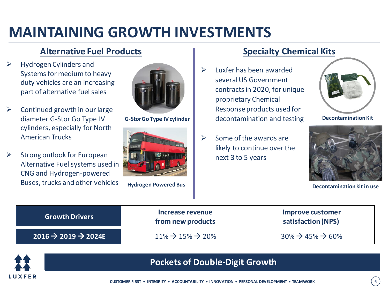### **MAINTAINING GROWTH INVESTMENTS**

### Alternative Fuel Products **Specialty Chemical Kits**

- ➢ Hydrogen Cylinders and Systems for medium to heavy duty vehicles are an increasing part of alternative fuel sales
- ➢ Continued growth in our large diameter G-Stor Go Type IV cylinders, especially for North American Trucks
- $\triangleright$  Strong outlook for European Alternative Fuel systems used in CNG and Hydrogen-powered Buses, trucks and other vehicles



**G-StorGo Type IV cylinder**



**Hydrogen Powered Bus** 

- ➢ Luxfer has been awarded several US Government contracts in 2020, for unique proprietary Chemical Response products used for decontamination and testing
- $\triangleright$  Some of the awards are likely to continue over the next 3 to 5 years



**Decontamination Kit**



**Decontamination kit in use** 

| <b>Growth Drivers</b>                     | Increase revenue<br>from new products    | <b>Improve customer</b><br>satisfaction (NPS) |
|-------------------------------------------|------------------------------------------|-----------------------------------------------|
| $2016 \rightarrow 2019 \rightarrow 2024E$ | $11\% \rightarrow 15\% \rightarrow 20\%$ | $30\% \rightarrow 45\% \rightarrow 60\%$      |



### **Pockets of Double-Digit Growth**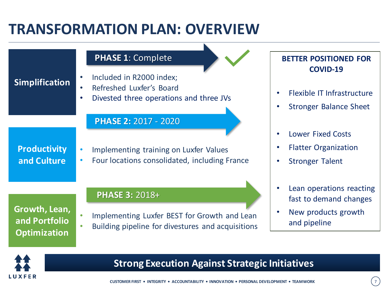### **TRANSFORMATION PLAN: OVERVIEW**





### **Click Strong Execution Against Strategic Initiatives**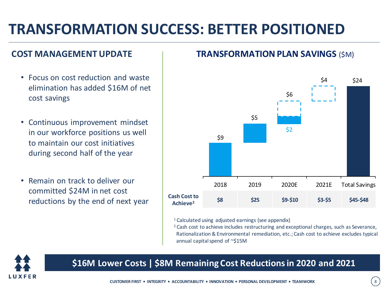# **TRANSFORMATION SUCCESS: BETTER POSITIONED**

#### **COST MANAGEMENT UPDATE**

- Focus on cost reduction and waste elimination has added \$16M of net cost savings
- Continuous improvement mindset in our workforce positions us well to maintain our cost initiatives during second half of the year
- Remain on track to deliver our committed \$24M in net cost reductions by the end of next year

#### **TRANSFORMATION PLAN SAVINGS** (\$M)



<sup>1</sup> Calculated using adjusted earnings (see appendix)

<sup>2</sup> Cash cost to achieve includes restructuring and exceptional charges, such as Severance, Rationalization & Environmental remediation, etc.; Cash cost to achieve excludes typical annual capital spend of ~\$15M



#### **Click here to edit key takeaway \$16M Lower Costs | \$8M Remaining Cost Reductions in 2020 and 2021**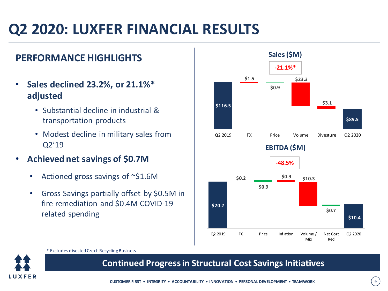# **Q2 2020: LUXFER FINANCIAL RESULTS**

### **PERFORMANCE HIGHLIGHTS**

- **Sales declined 23.2%, or 21.1%\* adjusted**
	- Substantial decline in industrial & transportation products
	- Modest decline in military sales from Q2'19
- **Achieved net savings of \$0.7M**
	- Actioned gross savings of  $\sim$ \$1.6M
	- Gross Savings partially offset by \$0.5M in fire remediation and \$0.4M COVID-19 related spending



\* Excludes divested Czech Recycling Business



**Continued Progress in Structural Cost Savings Initiatives**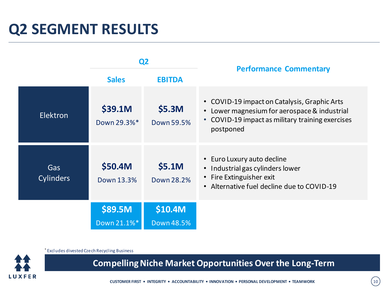### **Q2 SEGMENT RESULTS**

|                         |                        | Q <sub>2</sub>        | <b>Performance Commentary</b>                                                                                                                                            |  |  |  |  |
|-------------------------|------------------------|-----------------------|--------------------------------------------------------------------------------------------------------------------------------------------------------------------------|--|--|--|--|
|                         | <b>Sales</b>           | <b>EBITDA</b>         |                                                                                                                                                                          |  |  |  |  |
| Elektron                | \$39.1M<br>Down 29.3%* | \$5.3M<br>Down 59.5%  | • COVID-19 impact on Catalysis, Graphic Arts<br>Lower magnesium for aerospace & industrial<br>$\bullet$<br>• COVID-19 impact as military training exercises<br>postponed |  |  |  |  |
| Gas<br><b>Cylinders</b> | \$50.4M<br>Down 13.3%  | \$5.1M<br>Down 28.2%  | • Euro Luxury auto decline<br>• Industrial gas cylinders lower<br>• Fire Extinguisher exit<br>• Alternative fuel decline due to COVID-19                                 |  |  |  |  |
|                         | \$89.5M<br>Down 21.1%* | \$10.4M<br>Down 48.5% |                                                                                                                                                                          |  |  |  |  |

\* Excludes divested Czech Recycling Business



**Compelling Niche Market Opportunities Over the Long-Term**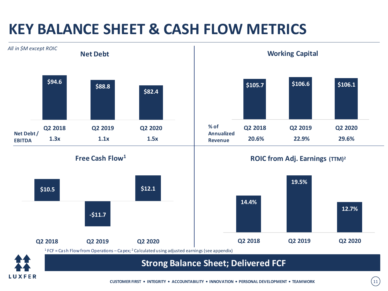### **KEY BALANCE SHEET & CASH FLOW METRICS**



**CUSTOMER FIRST • INTEGRITY • ACCOUNTABILITY • INNOVATION • PERSONAL DEVELOPMENT • TEAMWORK** (11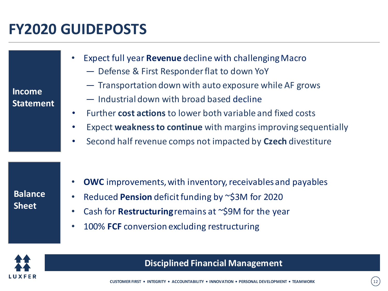### **FY2020 GUIDEPOSTS**

| <b>Income</b><br><b>Statement</b> | Expect full year <b>Revenue</b> decline with challenging Macro<br>$\bullet$<br>- Defense & First Responder flat to down YoY<br>- Transportation down with auto exposure while AF grows<br>- Industrial down with broad based decline<br>Further cost actions to lower both variable and fixed costs<br>$\bullet$ |
|-----------------------------------|------------------------------------------------------------------------------------------------------------------------------------------------------------------------------------------------------------------------------------------------------------------------------------------------------------------|
|                                   | Expect weakness to continue with margins improving sequentially<br>$\bullet$                                                                                                                                                                                                                                     |

• Second half revenue comps not impacted by **Czech** divestiture

**Balance Sheet**

- **OWC** improvements, with inventory, receivables and payables
- Reduced **Pension** deficit funding by ~\$3M for 2020
- Cash for **Restructuring**remains at ~\$9M for the year
- 100% **FCF** conversion excluding restructuring



**Click here to edit key takeaway Disciplined Financial Management**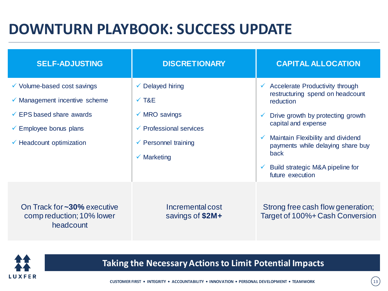## **DOWNTURN PLAYBOOK: SUCCESS UPDATE**

| <b>SELF-ADJUSTING</b>                                                                                                                                                                      | <b>DISCRETIONARY</b>                                                                                                                                                       | <b>CAPITAL ALLOCATION</b>                                                                                                                                                                                                                                                                                                     |
|--------------------------------------------------------------------------------------------------------------------------------------------------------------------------------------------|----------------------------------------------------------------------------------------------------------------------------------------------------------------------------|-------------------------------------------------------------------------------------------------------------------------------------------------------------------------------------------------------------------------------------------------------------------------------------------------------------------------------|
| ✓ Volume-based cost savings<br>$\checkmark$ Management incentive scheme<br>$\checkmark$ EPS based share awards<br>$\checkmark$ Employee bonus plans<br>$\checkmark$ Headcount optimization | $\checkmark$ Delayed hiring<br>$\times$ T&E<br>$\checkmark$ MRO savings<br>$\checkmark$ Professional services<br>$\checkmark$ Personnel training<br>$\checkmark$ Marketing | <b>Accelerate Productivity through</b><br>$\checkmark$<br>restructuring spend on headcount<br>reduction<br>Drive growth by protecting growth<br>capital and expense<br>Maintain Flexibility and dividend<br>$\checkmark$<br>payments while delaying share buy<br>back<br>Build strategic M&A pipeline for<br>future execution |
| On Track for ~30% executive<br>comp reduction; 10% lower<br>headcount                                                                                                                      | Incremental cost<br>savings of $$2M+$                                                                                                                                      | Strong free cash flow generation;<br>Target of 100%+ Cash Conversion                                                                                                                                                                                                                                                          |



**Taking the Necessary Actions to Limit Potential Impacts**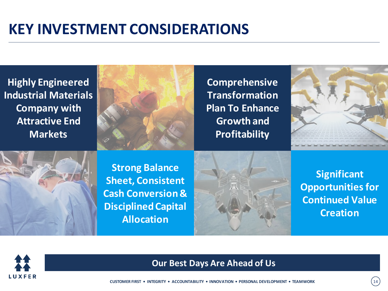## **KEY INVESTMENT CONSIDERATIONS**

**Highly Engineered Industrial Materials Company with Attractive End Markets**



**Comprehensive Transformation Plan To Enhance Growth and Profitability**





**Strong Balance Sheet, Consistent Cash Conversion & Disciplined Capital Allocation**



**Significant Opportunities for Continued Value Creation** 



**Our Best Days Are Ahead of Us**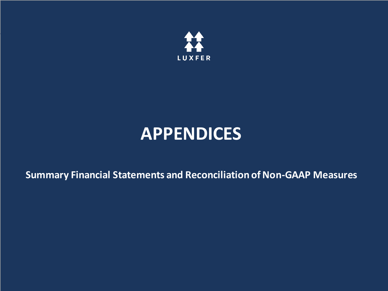

APPENDICES

# **APPENDICES**

**Summary Financial Statements and Reconciliation of Non-GAAP Measures**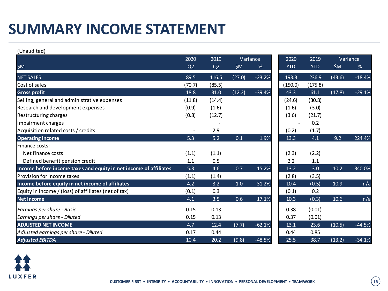## **SUMMARY INCOME STATEMENT**

| (Unaudited)                                                       |                |        |        |          |            |            |        |          |
|-------------------------------------------------------------------|----------------|--------|--------|----------|------------|------------|--------|----------|
|                                                                   | 2020           | 2019   |        | Variance | 2020       | 2019       |        | Variance |
| \$M\$                                                             | Q <sub>2</sub> | Q2     | \$M\$  | $\%$     | <b>YTD</b> | <b>YTD</b> | \$M    | %        |
| <b>NET SALES</b>                                                  | 89.5           | 116.5  | (27.0) | $-23.2%$ | 193.3      | 236.9      | (43.6) | $-18.4%$ |
| Cost of sales                                                     | (70.7)         | (85.5) |        |          | (150.0)    | (175.8)    |        |          |
| <b>Gross profit</b>                                               | 18.8           | 31.0   | (12.2) | $-39.4%$ | 43.3       | 61.1       | (17.8) | $-29.1%$ |
| Selling, general and administrative expenses                      | (11.8)         | (14.4) |        |          | (24.6)     | (30.8)     |        |          |
| Research and development expenses                                 | (0.9)          | (1.6)  |        |          | (1.6)      | (3.0)      |        |          |
| Restructuring charges                                             | (0.8)          | (12.7) |        |          | (3.6)      | (21.7)     |        |          |
| Impairment charges                                                |                |        |        |          |            | 0.2        |        |          |
| Acquisition related costs / credits                               |                | 2.9    |        |          | (0.2)      | (1.7)      |        |          |
| <b>Operating income</b>                                           | 5.3            | 5.2    | 0.1    | 1.9%     | 13.3       | 4.1        | 9.2    | 224.4%   |
| Finance costs:                                                    |                |        |        |          |            |            |        |          |
| Net finance costs                                                 | (1.1)          | (1.1)  |        |          | (2.3)      | (2.2)      |        |          |
| Defined benefit pension credit                                    | 1.1            | 0.5    |        |          | 2.2        | 1.1        |        |          |
| Income before income taxes and equity in net income of affiliates | 5.3            | 4.6    | 0.7    | 15.2%    | 13.2       | 3.0        | 10.2   | 340.0%   |
| Provision for income taxes                                        | (1.1)          | (1.4)  |        |          | (2.8)      | (3.5)      |        |          |
| Income before equity in net income of affiliates                  | 4.2            | 3.2    | 1.0    | 31.2%    | 10.4       | (0.5)      | 10.9   | n/a      |
| Equity in income / (loss) of affiliates (net of tax)              | (0.1)          | 0.3    |        |          | (0.1)      | 0.2        |        |          |
| <b>Net income</b>                                                 | 4.1            | 3.5    | 0.6    | 17.1%    | 10.3       | (0.3)      | 10.6   | n/a      |
| Earnings per share - Basic                                        | 0.15           | 0.13   |        |          | 0.38       | (0.01)     |        |          |
| Earnings per share - Diluted                                      | 0.15           | 0.13   |        |          | 0.37       | (0.01)     |        |          |
| <b>ADJUSTED NET INCOME</b>                                        | 4.7            | 12.4   | (7.7)  | $-62.1%$ | 13.1       | 23.6       | (10.5) | $-44.5%$ |
| Adjusted earnings per share - Diluted                             | 0.17           | 0.44   |        |          | 0.44       | 0.85       |        |          |
| <b>Adjusted EBITDA</b>                                            | 10.4           | 20.2   | (9.8)  | $-48.5%$ | 25.5       | 38.7       | (13.2) | $-34.1%$ |

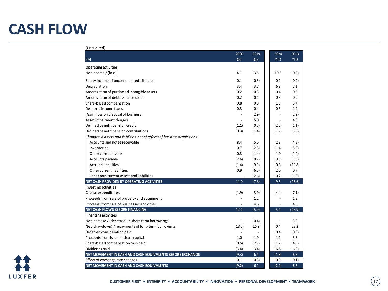### **CASH FLOW**

| (Unaudited)                                                                |                  |                |            |            |
|----------------------------------------------------------------------------|------------------|----------------|------------|------------|
|                                                                            | $\frac{2020}{ }$ | 2019           | 2020       | 2019       |
| \$M                                                                        | Q <sub>2</sub>   | Q <sub>2</sub> | <b>YTD</b> | <b>YTD</b> |
| <b>Operating activities</b>                                                |                  |                |            |            |
| Net income / (loss)                                                        | 4.1              | 3.5            | 10.3       | (0.3)      |
|                                                                            |                  |                |            |            |
| Equity income of unconsolidated affiliates                                 | 0.1              | (0.3)          | 0.1        | (0.2)      |
| Depreciation                                                               | 3.4              | 3.7            | 6.8        | 7.1        |
| Amortization of purchased intangible assets                                | 0.2              | 0.3            | 0.4        | 0.6        |
| Amortization of debt issuance costs                                        | 0.2              | 0.1            | 0.3        | 0.2        |
| Share-based compensation                                                   | 0.8              | 0.8            | 1.3        | 3.4        |
| Deferred income taxes                                                      | 0.3              | 0.4            | 0.5        | 1.2        |
| (Gain) loss on disposal of business                                        |                  | (2.9)          |            | (2.9)      |
| Asset impairment charges                                                   |                  | 5.0            |            | 4.8        |
| Defined benefit pension credit                                             | (1.1)            | (0.5)          | (2.2)      | (1.1)      |
| Defined benefit pension contributions                                      | (0.3)            | (1.4)          | (1.7)      | (3.3)      |
| Changes in assets and liabilities, net of effects of business acquisitions |                  |                |            |            |
| Accounts and notes receivable                                              | 8.4              | 5.6            | 2.8        | (4.8)      |
| Inventories                                                                | 0.7              | (2.3)          | (1.4)      | (5.9)      |
| Other current assets                                                       | 0.3              | (1.4)          | $1.0\,$    | (1.4)      |
| Accounts payable                                                           | (2.6)            | (0.2)          | (9.9)      | (1.0)      |
| <b>Accrued liabilities</b>                                                 | (1.4)            | (9.1)          | (0.6)      | (10.8)     |
| Other current liabilities                                                  | 0.9              | (6.5)          | 2.0        | 0.7        |
| Other non-current assets and liabilities                                   |                  | (2.6)          | (0.2)      | (1.9)      |
| NET CASH PROVIDED BY OPERATING ACTIVITIES                                  | 14.0             | (7.8)          | 9.5        | (15.6)     |
| <b>Investing activities</b>                                                |                  |                |            |            |
| Capital expenditures                                                       | (1.9)            | (3.9)          | (4.4)      | (7.1)      |
| Proceeds from sale of property and equipment                               |                  | 1.2            |            | 1.2        |
| Proceeds from sale of businesses and other                                 |                  | 4.6            |            | 4.6        |
| NET CASH FLOWS BEFORE FINANCING                                            | 12.1             | (5.9)          | 5.1        | (16.9)     |
| <b>Financing activities</b>                                                |                  |                |            |            |
| Net increase / (decrease) in short-term borrowings                         |                  | (0.4)          |            | 3.8        |
| Net (drawdown) / repayments of long-term borrowings                        | (18.5)           | 16.9           | 0.4        | 28.2       |
| Deferred consideration paid                                                |                  |                | (0.4)      | (0.5)      |
| Proceeds from issue of share capital                                       | 1.0              | 1.9            | 1.1        | 3.3        |
| Share-based compensation cash paid                                         | (0.5)            | (2.7)          | (1.2)      | (4.5)      |
| Dividends paid                                                             | (3.4)            | (3.4)          | (6.8)      | (6.8)      |
| NET MOVEMENT IN CASH AND CASH EQUIVALENTS BEFORE EXCHANGE                  | (9.3)            | 6.4            | (1.8)      | 6.6        |
| Effect of exchange rate changes                                            | 0.1              | (0.3)          | (0.3)      | (0.1)      |
| NET MOVEMENT IN CASH AND CASH EQUIVALENTS                                  | (9.2)            | 6.1            | (2.1)      | 6.5        |

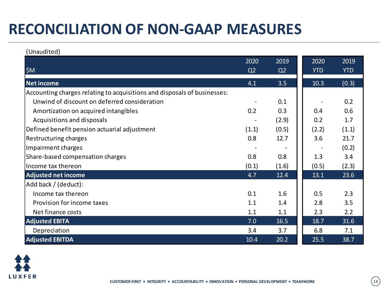# **RECONCILIATION OF NON-GAAP MEASURES**

(Unaudited)

|                                                                          | 2020           | 2019           | 2020       | 2019       |
|--------------------------------------------------------------------------|----------------|----------------|------------|------------|
| \$M\$                                                                    | Q <sub>2</sub> | Q <sub>2</sub> | <b>YTD</b> | <b>YTD</b> |
| <b>Net income</b>                                                        | 4.1            | 3.5            | 10.3       | (0.3)      |
| Accounting charges relating to acquisitions and disposals of businesses: |                |                |            |            |
| Unwind of discount on deferred consideration                             |                | 0.1            |            | 0.2        |
| Amortization on acquired intangibles                                     | 0.2            | 0.3            | 0.4        | 0.6        |
| Acquisitions and disposals                                               |                | (2.9)          | 0.2        | 1.7        |
| Defined benefit pension actuarial adjustment                             | (1.1)          | (0.5)          | (2.2)      | (1.1)      |
| Restructuring charges                                                    | 0.8            | 12.7           | 3.6        | 21.7       |
| Impairment charges                                                       |                |                |            | (0.2)      |
| Share-based compensation charges                                         | 0.8            | 0.8            | 1.3        | 3.4        |
| Income tax thereon                                                       | (0.1)          | (1.6)          | (0.5)      | (2.3)      |
| <b>Adjusted net income</b>                                               | 4.7            | 12.4           | 13.1       | 23.6       |
| Add back / (deduct):                                                     |                |                |            |            |
| Income tax thereon                                                       | 0.1            | 1.6            | 0.5        | 2.3        |
| Provision for income taxes                                               | 1.1            | 1.4            | 2.8        | 3.5        |
| Net finance costs                                                        | 1.1            | 1.1            | 2.3        | 2.2        |
| <b>Adjusted EBITA</b>                                                    | 7.0            | 16.5           | 18.7       | 31.6       |
| Depreciation                                                             | 3.4            | 3.7            | 6.8        | 7.1        |
| <b>Adjusted EBITDA</b>                                                   | 10.4           | 20.2           | 25.5       | 38.7       |

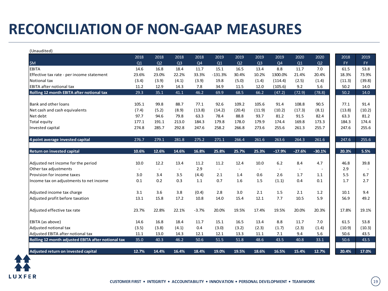### **RECONCILIATION OF NON-GAAP MEASURES**

| (Unaudited)                                        |                |                          |                          |                |                          |                          |                          |                          |                          |                          |           |           |
|----------------------------------------------------|----------------|--------------------------|--------------------------|----------------|--------------------------|--------------------------|--------------------------|--------------------------|--------------------------|--------------------------|-----------|-----------|
|                                                    | 2018           | 2018                     | 2018                     | 2018           | 2019                     | 2019                     | 2019                     | 2019                     | 2020                     | 2020                     | 2018      | 2019      |
| \$M\$                                              | Q1             | Q <sub>2</sub>           | Q <sub>3</sub>           | Q <sub>4</sub> | Q1                       | Q <sub>2</sub>           | Q <sub>3</sub>           | Q <sub>4</sub>           | Q1                       | Q <sub>2</sub>           | <b>FY</b> | <b>FY</b> |
| <b>EBITA</b>                                       | 14.6           | 16.8                     | 18.4                     | 11.7           | 15.1                     | 16.5                     | 13.4                     | 8.8                      | 11.7                     | 7.0                      | 61.5      | 53.8      |
| Effective tax rate - per income statement          | 23.6%          | 23.0%                    | 22.2%                    | 33.3%          | $-131.3%$                | 30.4%                    | 10.2%                    | 1300.0%                  | 21.4%                    | 20.4%                    | 18.3%     | 73.9%     |
| <b>Notional tax</b>                                | (3.4)          | (3.9)                    | (4.1)                    | (3.9)          | 19.8                     | (5.0)                    | (1.4)                    | (114.4)                  | (2.5)                    | (1.4)                    | (11.3)    | (39.8)    |
| <b>EBITA after notional tax</b>                    | 11.2           | 12.9                     | 14.3                     | 7.8            | 34.9                     | 11.5                     | 12.0                     | (105.6)                  | 9.2                      | 5.6                      | 50.2      | 14.0      |
| Rolling 12 month EBITA after notional tax          | 29.3           | 35.1                     | 41.1                     | 46.2           | 69.9                     | 68.5                     | 66.2                     | (47.2)                   | (72.9)                   | (78.8)                   | 50.2      | 14.0      |
|                                                    |                |                          |                          |                |                          |                          |                          |                          |                          |                          |           |           |
| Bank and other loans                               | 105.1          | 99.8                     | 88.7                     | 77.1           | 92.6                     | 109.2                    | 105.6                    | 91.4                     | 108.8                    | 90.5                     | 77.1      | 91.4      |
| Net cash and cash equivalents                      | (7.4)          | (5.2)                    | (8.9)                    | (13.8)         | (14.2)                   | (20.4)                   | (11.9)                   | (10.2)                   | (17.3)                   | (8.1)                    | (13.8)    | (10.2)    |
| Net debt                                           | 97.7           | 94.6                     | 79.8                     | 63.3           | 78.4                     | 88.8                     | 93.7                     | 81.2                     | 91.5                     | 82.4                     | 63.3      | 81.2      |
| Total equity                                       | 177.1          | 191.1                    | 213.0                    | 184.3          | 179.8                    | 178.0                    | 179.9                    | 174.4                    | 169.8                    | 173.3                    | 184.3     | 174.4     |
| Invested capital                                   | 274.8          | 285.7                    | 292.8                    | 247.6          | 258.2                    | 266.8                    | 273.6                    | 255.6                    | 261.3                    | 255.7                    | 247.6     | 255.6     |
| 4 point average invested capital                   | 276.7          | 279.1                    | 281.8                    | 275.2          | 271.1                    | 266.4                    | 261.6                    | 263.6                    | 264.3                    | 261.6                    | 247.6     | 255.6     |
| Return on invested capital                         | 10.6%          | 12.6%                    | 14.6%                    | 16.8%          | 25.8%                    | 25.7%                    | 25.3%                    | $-17.9%$                 | $-27.6%$                 | $-30.1%$                 | 20.3%     | 5.5%      |
| Adjusted net income for the period                 | 10.0           | 12.2                     | 13.4                     | 11.2           | 11.2                     | 12.4                     | 10.0                     | 6.2                      | 8.4                      | 4.7                      | 46.8      | 39.8      |
| Other tax adjustments                              | $\blacksquare$ | $\overline{\phantom{a}}$ | $\overline{\phantom{a}}$ | 2.9            | $\overline{\phantom{a}}$ | $\overline{\phantom{a}}$ | $\overline{\phantom{a}}$ | $\overline{\phantom{a}}$ | $\overline{\phantom{a}}$ | $\overline{\phantom{a}}$ | 2.9       |           |
| Provision for income taxes                         | 3.0            | 3.4                      | 3.5                      | (4.4)          | 2.1                      | 1.4                      | 0.6                      | 2.6                      | 1.7                      | 1.1                      | 5.5       | 6.7       |
| Income tax on adjustments to net income            | 0.1            | 0.2                      | 0.3                      | 1.1            | 0.7                      | 1.6                      | 1.5                      | (1.1)                    | 0.4                      | 0.1                      | 1.7       | 2.7       |
| Adjusted income tax charge                         | 3.1            | 3.6                      | 3.8                      | (0.4)          | 2.8                      | 3.0                      | 2.1                      | 1.5                      | 2.1                      | 1.2                      | 10.1      | 9.4       |
| Adjusted profit before taxation                    | 13.1           | 15.8                     | 17.2                     | 10.8           | 14.0                     | 15.4                     | 12.1                     | 7.7                      | 10.5                     | 5.9                      | 56.9      | 49.2      |
| Adjusted effective tax rate                        | 23.7%          | 22.8%                    | 22.1%                    | $-3.7%$        | 20.0%                    | 19.5%                    | 17.4%                    | 19.5%                    | 20.0%                    | 20.3%                    | 17.8%     | 19.1%     |
| EBITA (as above)                                   | 14.6           | 16.8                     | 18.4                     | 11.7           | 15.1                     | 16.5                     | 13.4                     | 8.8                      | 11.7                     | 7.0                      | 61.5      | 53.8      |
| Adjusted notional tax                              | (3.5)          | (3.8)                    | (4.1)                    | 0.4            | (3.0)                    | (3.2)                    | (2.3)                    | (1.7)                    | (2.3)                    | (1.4)                    | (10.9)    | (10.3)    |
| Adjusted EBITA after notional tax                  | 11.1           | 13.0                     | 14.3                     | 12.1           | 12.1                     | 13.3                     | 11.1                     | 7.1                      | 9.4                      | 5.6                      | 50.6      | 43.5      |
| Rolling 12 month adjusted EBITA after notional tax | 35.0           | 40.3                     | 46.2                     | 50.6           | 51.5                     | 51.8                     | 48.6                     | 43.5                     | 40.8                     | 33.1                     | 50.6      | 43.5      |
| Adjusted return on invested capital                | 12.7%          | 14.4%                    | 16.4%                    | 18.4%          | 19.0%                    | 19.5%                    | 18.6%                    | 16.5%                    | 15.4%                    | 12.7%                    | 20.4%     | 17.0%     |
|                                                    |                |                          |                          |                |                          |                          |                          |                          |                          |                          |           |           |

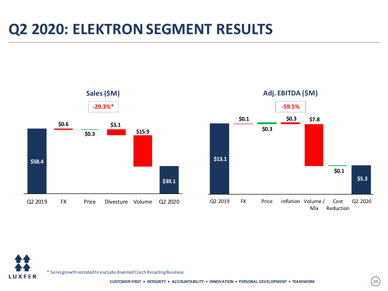### **Q2 2020: ELEKTRON SEGMENT RESULTS**





\* Sales growth restated to exclude divested Czech Recycling Business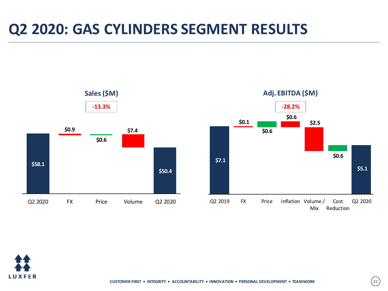### **Q2 2020: GAS CYLINDERS SEGMENT RESULTS**





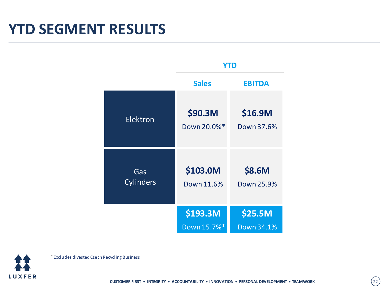### **YTD SEGMENT RESULTS**





\* Excludes divested Czech Recycling Business

**CUSTOMER FIRST • INTEGRITY • ACCOUNTABILITY • INNOVATION • PERSONAL DEVELOPMENT • TEAMWORK** 22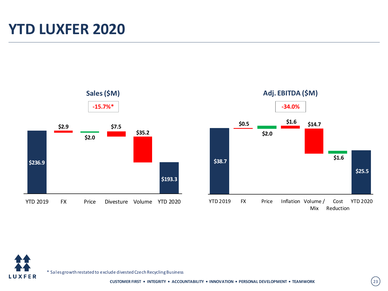# **YTD LUXFER 2020**







\* Sales growth restated to exclude divested Czech Recycling Business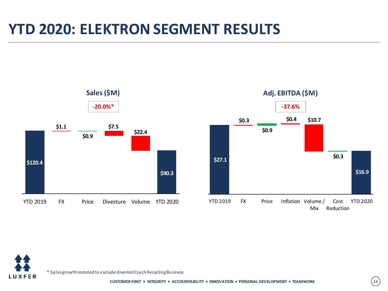### **YTD 2020: ELEKTRON SEGMENT RESULTS**







\* Sales growth restated to exclude divested Czech Recycling Business